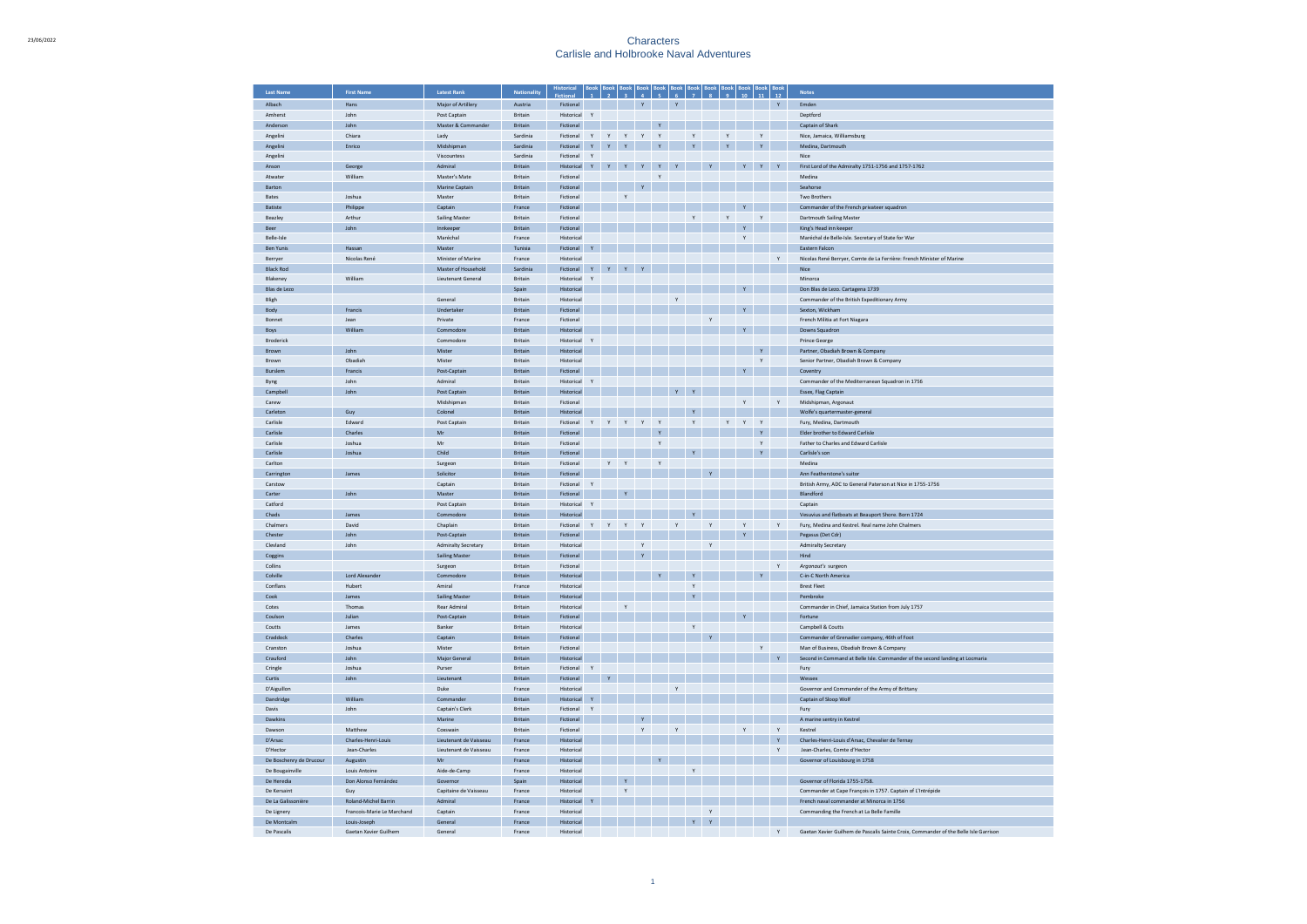| <b>Last Name</b>        | <b>First Name</b>          | <b>Latest Rank</b>         | <b>Nationality</b>               | <b>Historical</b>        |              |              |              |              |                   |              |                              |               |              |              |                   |              | <b>Notes</b>                                                                         |
|-------------------------|----------------------------|----------------------------|----------------------------------|--------------------------|--------------|--------------|--------------|--------------|-------------------|--------------|------------------------------|---------------|--------------|--------------|-------------------|--------------|--------------------------------------------------------------------------------------|
| Albach                  | Hans                       | Major of Artillery         | Austria                          | Fictional                |              |              |              |              |                   |              |                              |               |              |              |                   |              | Emden                                                                                |
| Amherst                 | John                       | Post Captain               | <b>Britain</b>                   | Historical               | Y            |              |              |              |                   |              |                              |               |              |              |                   |              | Deptford                                                                             |
| Anderson                | lohn                       | Master & Commander         | <b>Britain</b>                   | Fictional                |              |              |              |              |                   |              |                              |               |              |              |                   |              | Captain of Shark                                                                     |
| Angelini                | Chiara                     | Lady                       | Sardinia                         | Fictional                | Y            | Y            | Y            | Y Y          |                   |              | Y                            |               | $\mathsf{Y}$ |              | $\mathsf{Y}$      |              | Nice, Jamaica, Williamsburg                                                          |
| Angelini                | Enrico                     | Midshipman                 | Sardinia                         | Fictional                | Y.           | $\mathbf{v}$ | $\mathbf{v}$ |              | Y                 |              |                              |               | Y            |              | $\mathbf{v}$      |              | Medina, Dartmouth                                                                    |
| Angelini                |                            | Viscountess                | Sardinia                         | Fictional                | Y            |              |              |              |                   |              |                              |               |              |              |                   |              | Nice                                                                                 |
| Anson<br>Atwater        | George<br>William          | Admiral<br>Master's Mate   | Britain<br>Britain               | Historical<br>Fictional  |              |              |              |              | Y<br>$\mathsf{Y}$ |              |                              |               |              |              | $\mathbf Y$       | $\mathbf{Y}$ | First Lord of the Admiralty 1751-1756 and 1757-1762<br>Medina                        |
| Barton                  |                            | Marine Captain             | Britain                          | Fictional                |              |              |              |              |                   |              |                              |               |              |              |                   |              | Seahorse                                                                             |
| Bates                   | Joshua                     | Master                     | Britain                          | Fictional                |              |              | $\mathbf{Y}$ |              |                   |              |                              |               |              |              |                   |              | Two Brothers                                                                         |
| Batiste                 | Philippe                   | Captain                    | France                           | Fictional                |              |              |              |              |                   |              |                              |               |              |              |                   |              | Commander of the French privateer squadron                                           |
| Beazley                 | Arthur                     | <b>Sailing Master</b>      | Britain                          | Fictional                |              |              |              |              |                   |              | $\mathbf{v}$                 |               | $\mathsf{Y}$ |              | $\mathbf{v}$      |              | Dartmouth Sailing Master                                                             |
| Beer                    | John                       | Innkeeper                  | Britain                          | Fictional                |              |              |              |              |                   |              |                              |               |              | Y            |                   |              | King's Head inn keeper                                                               |
| Belle-Isle              |                            | Maréchal                   | France                           | Historical               |              |              |              |              |                   |              |                              |               |              | $\mathbf{v}$ |                   |              | Maréchal de Belle-Isle, Secretary of State for War                                   |
| <b>Ben Yunis</b>        | Hassan                     | Master                     | Tunisia                          | Fictional                |              |              |              |              |                   |              |                              |               |              |              |                   |              | Eastern Falcon                                                                       |
| Berryer                 | Nicolas René               | Minister of Marine         | France                           | Historical               |              |              |              |              |                   |              |                              |               |              |              |                   | Y            | Nicolas René Berryer, Comte de La Ferrière: French Minister of Marine                |
| <b>Black Rod</b>        |                            | Master of Household        | Sardinia                         | Fictional                |              | $\mathbf{v}$ | Y            |              |                   |              |                              |               |              |              |                   |              | Nice                                                                                 |
| Blakeney                | William                    | <b>Lieutenant General</b>  | Britain                          | Historical               | Y            |              |              |              |                   |              |                              |               |              |              |                   |              | Minorca                                                                              |
| Blas de Lezo            |                            |                            | Spain                            | Historical               |              |              |              |              |                   |              |                              |               |              |              |                   |              | Don Blas de Lezo, Cartagena 1739                                                     |
| Bligh                   | Francis                    | General<br>Undertake       | <b>Britain</b><br><b>Britain</b> | Historica<br>Fictional   |              |              |              |              |                   | $\mathsf{Y}$ |                              |               |              |              |                   |              | Commander of the British Expeditionary Army<br>Sexton, Wickham                       |
| Body<br>Bonnet          | Jean                       | Private                    | France                           | Fictional                |              |              |              |              |                   |              |                              | Y             |              |              |                   |              | French Militia at Fort Niagara                                                       |
| Boys                    | William                    | Commodore                  | Britain                          | Historica                |              |              |              |              |                   |              |                              |               |              |              |                   |              | Downs Squadron                                                                       |
| Broderick               |                            | Commodore                  | Britain                          | Historical               | $\mathbf{v}$ |              |              |              |                   |              |                              |               |              |              |                   |              | Prince George                                                                        |
| Brown                   | John                       | Mister                     | Britain                          | Historica                |              |              |              |              |                   |              |                              |               |              |              | $\mathbf{Y}$      |              | Partner, Obadiah Brown & Company                                                     |
| Brown                   | Obadiah                    | Mister                     | Britain                          | Historical               |              |              |              |              |                   |              |                              |               |              |              | Y                 |              | Senior Partner, Obadiah Brown & Company                                              |
| Burslem                 | Francis                    | Post-Captain               | Britain                          | Fictional                |              |              |              |              |                   |              |                              |               |              |              |                   |              | Coventry                                                                             |
| Byng                    | John                       | Admiral                    | Britain                          | Historical               | $\mathbf{v}$ |              |              |              |                   |              |                              |               |              |              |                   |              | Commander of the Mediterranean Squadron in 1756                                      |
| Campbell                | John                       | Post Captain               | Britain                          | Historical               |              |              |              |              |                   | Y            |                              |               |              |              |                   |              | Essex, Flag Captain                                                                  |
| Carew                   |                            | Midshipman                 | Britain                          | Fictional                |              |              |              |              |                   |              |                              |               |              | Y            |                   | Y            | Midshipman, Argonaut                                                                 |
| Carleton                | Guv                        | Colonel                    | <b>Britain</b>                   | Historical               |              |              |              |              |                   |              |                              |               |              |              |                   |              | Wolfe's quartermaster-general                                                        |
| Carlisle                | Edward                     | Post Captain               | Britain                          | Fictional                |              |              | Y            |              | Y                 |              | Y                            |               | Y            | Y            | Y                 |              | Fury, Medina, Dartmouth                                                              |
| Carlisle                | Charles                    | Mr<br>Mr                   | <b>Britain</b>                   | Fictional                |              |              |              |              | Y                 |              |                              |               |              |              | $\mathbf{v}$      |              | Elder brother to Edward Carlisle<br>Father to Charles and Edward Carlisle            |
| Carlisle<br>Carlisle    | Inshua                     | Child                      | <b>Britain</b><br>Britain        | Fictional<br>Fictional   |              |              |              |              | Y                 |              |                              |               |              |              | Y<br>$\mathbf{Y}$ |              |                                                                                      |
| Carlton                 | Joshua                     | Surgeon                    | <b>Britain</b>                   | Fictional                |              | Y            | $\mathbf{v}$ |              | $\mathbf{v}$      |              |                              |               |              |              |                   |              | Carlisle's son<br>Medina                                                             |
| Carringto               | James                      | Solicitor                  | Britain                          | Fictional                |              |              |              |              |                   |              |                              |               |              |              |                   |              | Ann Featherstone's suitor                                                            |
| Carstow                 |                            | Captain                    | Britain                          | Fictional                |              |              |              |              |                   |              |                              |               |              |              |                   |              | British Army, ADC to General Paterson at Nice in 1755-1756                           |
| Carter                  | John                       | Master                     | Britain                          | Fictional                |              |              |              |              |                   |              |                              |               |              |              |                   |              | Blandford                                                                            |
| Catford                 |                            | Post Captain               | Britain                          | Historical               |              |              |              |              |                   |              |                              |               |              |              |                   |              | Captair                                                                              |
| Chads                   | James                      | Commodore                  | Britain                          | Historical               |              |              |              |              |                   |              |                              |               |              |              |                   |              | Vesuvius and flatboats at Beauport Shore. Born 1724                                  |
| Chalmers                | David                      | Chaplain                   | Britain                          | Fictional                | Y            | $\mathsf{Y}$ | Y            | Y            |                   | Y            |                              | $\mathbf{Y}$  |              |              |                   | Y            | Fury, Medina and Kestrel, Real name John Chalmers                                    |
| Chester                 | John                       | Post-Captain               | Britain                          | Fictional                |              |              |              |              |                   |              |                              |               |              |              |                   |              | Pegasus (Det Cdr)                                                                    |
| Clevland                | John                       | <b>Admiralty Secretary</b> | Britain                          | Historical               |              |              |              | $\mathbf{Y}$ |                   |              |                              | $\mathbf{Y}$  |              |              |                   |              | <b>Admiralty Secretary</b>                                                           |
| Coggins                 |                            | Sailing Master             | <b>Britain</b>                   | Fictional                |              |              |              | Y            |                   |              |                              |               |              |              |                   |              | Hind                                                                                 |
| Collins                 |                            | Surgeon                    | Britain                          | Fictional                |              |              |              |              |                   |              |                              |               |              |              |                   | $\mathsf{Y}$ | Argonaut's surgeon                                                                   |
| Colville<br>Conflans    | Lord Alexander<br>Hubert   | Commodore<br>Amiral        | Britain<br>France                | Historical<br>Historical |              |              |              |              |                   |              | $\mathbf{v}$<br>$\mathbf{v}$ |               |              |              | Y                 |              | C-in-C North America<br><b>Rrest Fleet</b>                                           |
| Cook                    | James                      | Sailing Master             | <b>Britain</b>                   | Historical               |              |              |              |              |                   |              | Y                            |               |              |              |                   |              | Pembroke                                                                             |
| Cotes                   | Thomas                     | <b>Rear Admiral</b>        | <b>Britain</b>                   | Historical               |              |              | $\mathbf{v}$ |              |                   |              |                              |               |              |              |                   |              | Commander in Chief, Jamaica Station from July 1757                                   |
| Coulson                 | Julian                     | Post-Captain               | <b>Britain</b>                   | Fictional                |              |              |              |              |                   |              |                              |               |              |              |                   |              | Fortune                                                                              |
| Coutts                  | James                      | Banker                     | <b>Britain</b>                   | Historical               |              |              |              |              |                   |              | Y                            |               |              |              |                   |              | Campbell & Coutts                                                                    |
| Craddock                | Charles                    | Captain                    | Britain                          | Fictional                |              |              |              |              |                   |              |                              | $\mathbf{Y}$  |              |              |                   |              | Commander of Grenadier company, 46th of Foot                                         |
| Cranston                | Joshua                     | Mister                     | <b>Britain</b>                   | Fictional                |              |              |              |              |                   |              |                              |               |              |              | $\mathsf{Y}$      |              | Man of Business, Obadiah Brown & Company                                             |
| Crauford                | John                       | Major Ge                   | Britain                          | Historical               |              |              |              |              |                   |              |                              |               |              |              |                   | $\mathbf{Y}$ | Second in Command at Belle Isle. Commander of the second landing at Locmaria         |
| Cringle                 | Joshua                     | Purser                     | Britain                          | Fictional                | Y            |              |              |              |                   |              |                              |               |              |              |                   |              | Fury                                                                                 |
| Curtis                  | John                       | Lieute                     | Britain                          | Fictional                |              |              |              |              |                   |              |                              |               |              |              |                   |              | Wesse:                                                                               |
| D'Aiguillon             |                            | Duke                       | France                           | Historical               |              |              |              |              |                   | Y            |                              |               |              |              |                   |              | Governor and Commander of the Army of Brittany                                       |
| <b>Dandridge</b>        | William                    | Commander                  | Britain                          | Historical               |              |              |              |              |                   |              |                              |               |              |              |                   |              | Captain of Sloop Wolf                                                                |
| Davis                   | John                       | Captain's Clerk            | Britain                          | Fictional                | Y            |              |              |              |                   |              |                              |               |              |              |                   |              | Fury                                                                                 |
| Dawkins<br>Dawson       | Matthew                    | Marine<br>Coxswain         | Britain<br>Britain               | Fictional<br>Fictional   |              |              |              | Y            |                   | Y            |                              |               |              | Y            |                   | Y            | A marine sentry in Kestrel<br>Kestrel                                                |
| D'Arsac                 | Charles-Henri-Louis        | Lieutenant de Vaisseau     | France                           | Historical               |              |              |              |              |                   |              |                              |               |              |              |                   | $\mathbf{Y}$ | Charles-Henri-Louis d'Arsac, Chevalier de Ternay                                     |
| D'Hector                | Jean-Charles               | Lieutenant de Vaisseau     | France                           | Historical               |              |              |              |              |                   |              |                              |               |              |              |                   | Y            | Jean-Charles, Comte d'Hector                                                         |
| De Boschenry de Drucour | Augustin                   | Mr                         | France                           | Historical               |              |              |              |              |                   |              |                              |               |              |              |                   |              | Governor of Louisbourg in 1758                                                       |
| De Bougainville         | Louis Antoine              | Aide-de-Camp               | France                           | Historical               |              |              |              |              |                   |              | Y                            |               |              |              |                   |              |                                                                                      |
| De Heredia              | Don Alonso Fernández       | Governor                   | Spain                            | Historical               |              |              |              |              |                   |              |                              |               |              |              |                   |              | Governor of Florida 1755-1758.                                                       |
| De Kersaint             | Guy                        | Capitaine de Vaisseau      | France                           | Historical               |              |              |              |              |                   |              |                              |               |              |              |                   |              | Commander at Cape François in 1757. Captain of L'Intrépide                           |
| De La Galissonière      | Roland-Michel Barrin       | Admiral                    | France                           | Historical               |              |              |              |              |                   |              |                              |               |              |              |                   |              | French naval commander at Minorca in 1756                                            |
| De Lignery              | Francois-Marie Le Marchand | Captain                    | France                           | Historical               |              |              |              |              |                   |              |                              | $\mathbb {Y}$ |              |              |                   |              | Commanding the French at La Belle Famille                                            |
| De Montcalr             | Louis-Joseph               | General                    | France                           | Historical               |              |              |              |              |                   |              |                              | $\mathbf Y$   |              |              |                   |              |                                                                                      |
| De Pascalis             | Gaetan Xavier Guilhem      | General                    | France                           | Historical               |              |              |              |              |                   |              |                              |               |              |              |                   | Y            | Gaetan Xavier Guilhem de Pascalis Sainte Croix, Commander of the Belle Isle Garrison |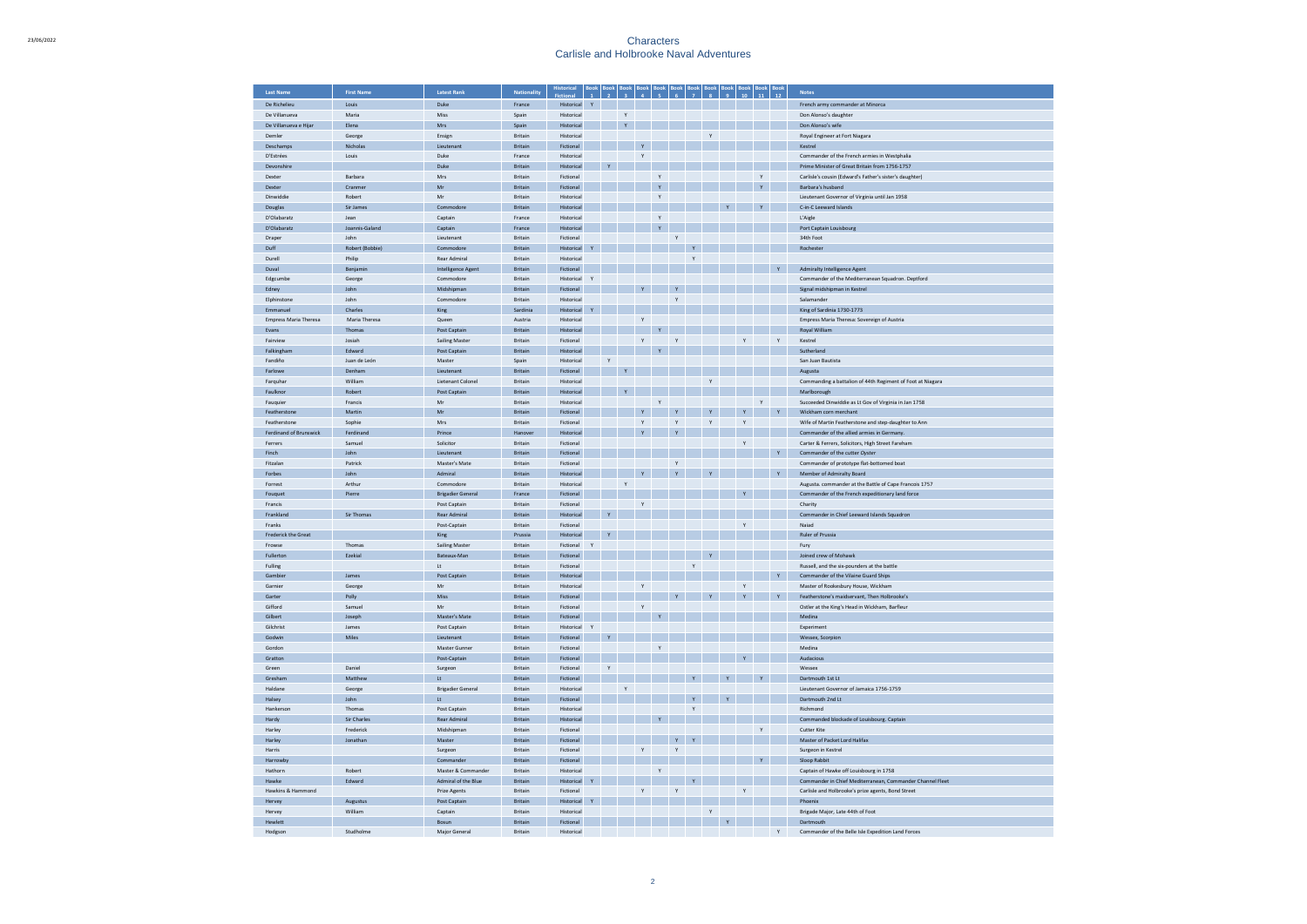| <b>Last Name</b>           | <b>First Name</b>   | <b>Latest Rank</b>           | <b>Nationality</b> | Historical              |              |              |                    |              |              |              |              |               |              |              |              | <b>Notes</b>                                                    |
|----------------------------|---------------------|------------------------------|--------------------|-------------------------|--------------|--------------|--------------------|--------------|--------------|--------------|--------------|---------------|--------------|--------------|--------------|-----------------------------------------------------------------|
| De Richelieu               | Louis               | Duke                         | France             | Historical              | $\mathbf{Y}$ |              |                    |              |              |              |              |               |              |              |              | French army commander at Minorca                                |
| De Villanueva              | Maria               | Miss                         | Spain              | Historical              |              |              | $\mathbf{Y}$       |              |              |              |              |               |              |              |              | Don Alonso's daughter                                           |
| De Villanueva e Hijar      | Elena               | Mrs                          | Spair              | Historical              |              |              | $\bar{\mathbf{Y}}$ |              |              |              |              |               |              |              |              | Don Alonso's wife                                               |
| Demler                     | George              | Ensign                       | Britain            | Historical              |              |              |                    |              |              |              |              | Y             |              |              |              | Royal Engineer at Fort Niagara                                  |
| Deschamps                  | Nicholas            | Lieutenant                   | Britain            | Fictional               |              |              |                    | $\mathbf{Y}$ |              |              |              |               |              |              |              | Kestrel                                                         |
| D'Estrées                  | Louis               | Duke                         | France             | Historical              |              |              |                    | Y            |              |              |              |               |              |              |              | Commander of the French armies in Westphalia                    |
| Devonshire                 |                     | Duke                         | <b>Britain</b>     | Historical              |              |              |                    |              |              |              |              |               |              |              |              | Prime Minister of Great Britain from 1756-1757                  |
| Dexter                     | Barbara             | Mrs                          | Britain            | Fictional               |              |              |                    |              | Y            |              |              |               |              | Y            |              | Carlisle's cousin (Edward's Father's sister's daughter)         |
| Dexter                     | Cranme              | Mr                           | <b>Britain</b>     | Fictional               |              |              |                    |              | $\mathbf{v}$ |              |              |               |              | $\mathbf{v}$ |              | Barbara's husband                                               |
| Dinwiddie                  | Robert              | Mr                           | Britain            | Historical              |              |              |                    |              | Y            |              |              |               |              |              |              | Lieutenant Governor of Virginia until Jan 1958                  |
| Douglas                    | Sir James           | Commodore                    | Britain            | Historical              |              |              |                    |              |              |              |              |               |              |              |              | C-in-C Leeward Islands                                          |
| D'Olabaratz                | Jean                | Captain                      | France             | Historical              |              |              |                    |              | $\mathsf{Y}$ |              |              |               |              |              |              | L'Aigle                                                         |
| D'Olabaratz                | Joannis-Galand      | Captain                      | France             | Historical              |              |              |                    |              | $\mathbf{v}$ |              |              |               |              |              |              | Port Captain Louisbourg                                         |
| Drape                      | John                | Lieutenant                   | Britain            | Fictional               |              |              |                    |              |              | $\mathsf{Y}$ |              |               |              |              |              | 34th Foot                                                       |
| Duff                       | Robert (Bobbie)     | Commodore                    | Britain            | Historical              |              |              |                    |              |              |              |              |               |              |              |              | Rochester                                                       |
| Durell                     | Philip              | <b>Rear Admiral</b>          | Britain            | Historical              |              |              |                    |              |              |              | Y            |               |              |              |              |                                                                 |
| Duval                      | Benjamin            | <b>Intelligence Agent</b>    | Britain            | Fictional               |              |              |                    |              |              |              |              |               |              |              |              | <b>Admiralty Intelligence Agent</b>                             |
| Edgcumbe                   | George              | Commodore                    | Britain            | Historical              | Y            |              |                    |              |              |              |              |               |              |              |              | Commander of the Mediterranean Squadron. Deptford               |
| Edney                      | John                | Midshipman                   | Britain            | Fictional               |              |              |                    |              |              | $\mathbf{Y}$ |              |               |              |              |              | Signal midshipman in Kestrel                                    |
| Elphinstone                | John                | Commodore                    | Britain            | Historical              |              |              |                    |              |              | Y            |              |               |              |              |              | Salamander                                                      |
| Emmanuel                   | Charles             | King                         | Sardinia           | Historical              |              |              |                    |              |              |              |              |               |              |              |              | King of Sardinia 1730-1773                                      |
| Empress Maria Theresa      | Maria Theresa       | Queen                        | Austria            | Historical              |              |              |                    | Y            |              |              |              |               |              |              |              | Empress Maria Theresa: Sovereign of Austria                     |
| Evans                      | Thomas              | Post Captain                 | Britain            | Historical              |              |              |                    |              | $\mathbf{Y}$ |              |              |               |              |              |              | Royal William                                                   |
| Fairview                   | Insiah              | <b>Sailing Master</b>        | <b>Britain</b>     | Fictional               |              |              |                    | $\mathbf Y$  |              | $\mathbf{v}$ |              |               | Y            |              | $\mathbf{v}$ | Kestrel                                                         |
| Falkingham                 | Edward              | Post Captain                 | Britain            | Historical              |              |              |                    |              | Y            |              |              |               |              |              |              | Sutherland                                                      |
| Fandiño                    | Juan de León        | Master                       | Spain              | Historical              |              | Y            |                    |              |              |              |              |               |              |              |              | San Juan Bautista                                               |
| Farlowe                    | Denham              | Lieutenant                   | Britain            | Fictional               |              |              | $\mathbf Y$        |              |              |              |              |               |              |              |              | Augusta                                                         |
| Farquhar                   | William             | Lietenant Colonel            | Britain            | Historical              |              |              |                    |              |              |              |              | Y             |              |              |              | Commanding a battalion of 44th Regiment of Foot at Niagara      |
| Faulknor                   | Robert              | Post Captair                 | Britain            | Historical              |              |              | $\mathbf{Y}$       |              |              |              |              |               |              |              |              | Marlborough                                                     |
| Fauquier                   | Francis             | Mr                           | Britain            | Historica               |              |              |                    |              | $\mathbf{Y}$ |              |              |               |              | $\mathsf Y$  |              | Succeeded Dinwiddie as Lt Gov of Virginia in Jan 1758           |
| Featherstone               | Martin              | Mr                           | Britain            | Fictional               |              |              |                    | $\mathbf{Y}$ |              | Y            |              | Y             | Ÿ            |              | Y            | Wickham corn merchan                                            |
| Featherstone               | Sophie              | Mrs                          | Britain            | Fictional               |              |              |                    | $\mathsf{Y}$ |              | Y            |              | Y             | Υ            |              |              | Wife of Martin Featherstone and step-daughter to Ann            |
| Ferdinand of Brunswick     | Ferdinand           | Prince                       | Hanove             | Historical              |              |              |                    | $\mathbf{Y}$ |              | Y            |              |               |              |              |              | Commander of the allied armies in Germany.                      |
| Ferrers                    | Samuel              | Solicitor                    | Britain            | Fictional               |              |              |                    |              |              |              |              |               | Y            |              |              | Carter & Ferrers, Solicitors, High Street Fareham               |
| Finch                      | John                | Lieutenant                   | Britain            | Fictional               |              |              |                    |              |              |              |              |               |              |              | Y            | Commander of the cutter Oyster                                  |
| Fitzalan                   | Patrick             | Master's Mate                | Britain            | Fictional               |              |              |                    |              |              | Y            |              |               |              |              |              | Commander of prototype flat-bottomed boat                       |
| <b>Forbes</b>              | <b>John</b>         | Admiral                      | <b>Britain</b>     | Historical              |              |              |                    | Y            |              | $\mathbf{v}$ |              | Y             |              |              |              | Member of Admiralty Board                                       |
| Forrest                    | Arthur              | Commodore                    | <b>Britain</b>     | Historical              |              |              | Y                  |              |              |              |              |               |              |              |              | Augusta. commander at the Battle of Cape Francois 1757          |
| Fouquet                    | Pierre              | <b>Brigadier General</b>     | France             | Fictional               |              |              |                    |              |              |              |              |               |              |              |              | Commander of the French expeditionary land force                |
| Francis                    |                     | Post Captain                 | Britain            | Fictional               |              |              |                    | Y            |              |              |              |               |              |              |              | Charity                                                         |
| Frankland                  | Sir Thomas          | Rear Admiral                 | Britain            | Historical              |              | Y            |                    |              |              |              |              |               |              |              |              | Commander in Chief Leeward Islands Squadron                     |
| Franks                     |                     | Post-Captain                 | Britain            | Fictional               |              |              |                    |              |              |              |              |               | Y            |              |              | Najad                                                           |
| <b>Frederick the Great</b> |                     | King                         | Prussia            | Historical              |              |              |                    |              |              |              |              |               |              |              |              | Ruler of Prussia                                                |
| Frowse                     | Thomas              | <b>Sailing Master</b>        | Britain            | Fictional               | Y            |              |                    |              |              |              |              |               |              |              |              | Fury                                                            |
| Fullerton                  | Ezekial             | Bateaux-Man                  | Britain            | Fictional               |              |              |                    |              |              |              |              |               |              |              |              | Joined crew of Mohawk                                           |
| Fulling                    |                     | $\mathsf{t}$                 | Britain            | Fictional               |              |              |                    |              |              |              | $\mathbf{Y}$ |               |              |              |              | Russell, and the six-pounders at the battle                     |
| Gambier                    | James               | Post Captain                 | Britain            | Historical              |              |              |                    |              |              |              |              |               |              |              |              | Commander of the Vilaine Guard Ships                            |
| Garnier                    | George              | Mr                           | Britain            | Historical              |              |              |                    | $\mathsf{Y}$ |              |              |              |               | $_{\rm Y}$   |              |              | Master of Rookesbury House, Wickham                             |
| Garter                     | Polly               | Miss                         | Britain            | Fictional               |              |              |                    |              |              |              |              | Y             | $\mathbf{Y}$ |              | Y            | Featherstone's maidservant. Then Holbrooke's                    |
| Gifford                    | Samuel              | Mr                           | Britain            | Fictional               |              |              |                    | $\mathbf{Y}$ |              |              |              |               |              |              |              | Ostler at the King's Head in Wickham, Barfleur                  |
| Gilbert                    | Joseph              | Master's Mate                | <b>Britain</b>     | Fictional               |              |              |                    |              | $\mathbf{v}$ |              |              |               |              |              |              | Medina                                                          |
| Gilchrist                  | James               | Post Cantain                 | <b>Britain</b>     | Historical              | $\mathbf{v}$ |              |                    |              |              |              |              |               |              |              |              | Experiment                                                      |
| Godwin                     | Miles               | Lieutenant                   | Britain            | Fictional               |              | $\mathbf{Y}$ |                    |              |              |              |              |               |              |              |              | Wessex, Scorpion                                                |
| Gordon                     |                     | Master Gunner                | <b>Britain</b>     | Fictional               |              |              |                    |              | $\mathbf{v}$ |              |              |               |              |              |              | Medina                                                          |
| Gratton                    |                     | Post-Captain                 | Britain            | Fictional               |              |              |                    |              |              |              |              |               |              |              |              | Audacious                                                       |
| Green                      | Daniel              | Surgeon                      | Britain            | Fictional               |              | $\mathsf{Y}$ |                    |              |              |              |              |               |              |              |              | Wessex                                                          |
| Greshan                    | Matthe              | $\mathbf{t}$                 | Britain            | Fictional               |              |              |                    |              |              |              | Y            |               |              |              |              | Dartmouth 1st Lt                                                |
| Haldane                    | George              | <b>Brigadier General</b>     | Britain            | Historical              |              |              | $\mathbf{Y}$       |              |              |              |              |               |              |              |              | Lieutenant Governor of Jamaica 1756-1759                        |
| Halsey                     | John                | $\mathop{\text{Lt}}$         | Britain            | Fictional               |              |              |                    |              |              |              | Y            |               |              |              |              | Dartmouth 2nd Lt                                                |
| Hankerson                  | Thomas              | Post Captain                 | Britain            | Historical              |              |              |                    |              |              |              | Y            |               |              |              |              | Richmond                                                        |
| Hardy                      | Sir Charles         | <b>Rear Admiral</b>          | Britain            | Historical              |              |              |                    |              | Y            |              |              |               |              |              |              | Commanded blockade of Louisbourg, Captain                       |
| Harley                     | Frederick           | Midshipman<br>Master         | Britain<br>Britain | Fictional<br>Fictional  |              |              |                    |              |              |              | Ÿ            |               |              | $\mathsf Y$  |              | Cutter Kite<br>Master of Packet Lord Halifax                    |
| Harley<br>Harris           | Jonathan            | Surgeon                      | Britain            | Fictional               |              |              |                    | $\mathsf{Y}$ |              | $\mathbf{v}$ |              |               |              |              |              | Surgeon in Kestrel                                              |
| Harrowhy                   |                     | Commander                    | <b>Britain</b>     | Fictional               |              |              |                    |              |              | Y            |              |               |              |              |              |                                                                 |
| Hathorn                    | Robert              | Master & Commander           | <b>Britain</b>     | Historical              |              |              |                    |              |              |              |              |               |              |              |              | Sloop Rabbit                                                    |
| Hawke                      | Edward              | Admiral of the Blue          | <b>Britain</b>     | Historical              |              |              |                    |              | Y            |              |              |               |              |              |              | Captain of Hawke off Louisbourg in 1758                         |
| Hawkins & Hammond          |                     |                              | Britain            | Fictional               |              |              |                    | $\mathsf{Y}$ |              |              |              |               |              |              |              | Commander in Chief Mediterranean, Commander Channel Fleet       |
| Hervey                     |                     | Prize Agents<br>Post Captain | Britain            | Historical              |              |              |                    |              |              |              |              |               | $\mathsf{Y}$ |              |              | Carlisle and Holbrooke's prize agents, Bond Street<br>Phoenix   |
| Hervey                     | Augustus<br>William | Captain                      | Britain            | Historical              |              |              |                    |              |              |              |              | $\mathbb {Y}$ |              |              |              | Brigade Major, Late 44th of Foot                                |
|                            |                     |                              |                    |                         |              |              |                    |              |              |              |              |               |              |              |              |                                                                 |
| <b>Hewlett</b><br>Hodgson  | Studholme           | Bosun<br>Major General       | Britain<br>Britain | Fictional<br>Historical |              |              |                    |              |              |              |              |               |              |              | Y            | Dartmouth<br>Commander of the Belle Isle Expedition Land Forces |
|                            |                     |                              |                    |                         |              |              |                    |              |              |              |              |               |              |              |              |                                                                 |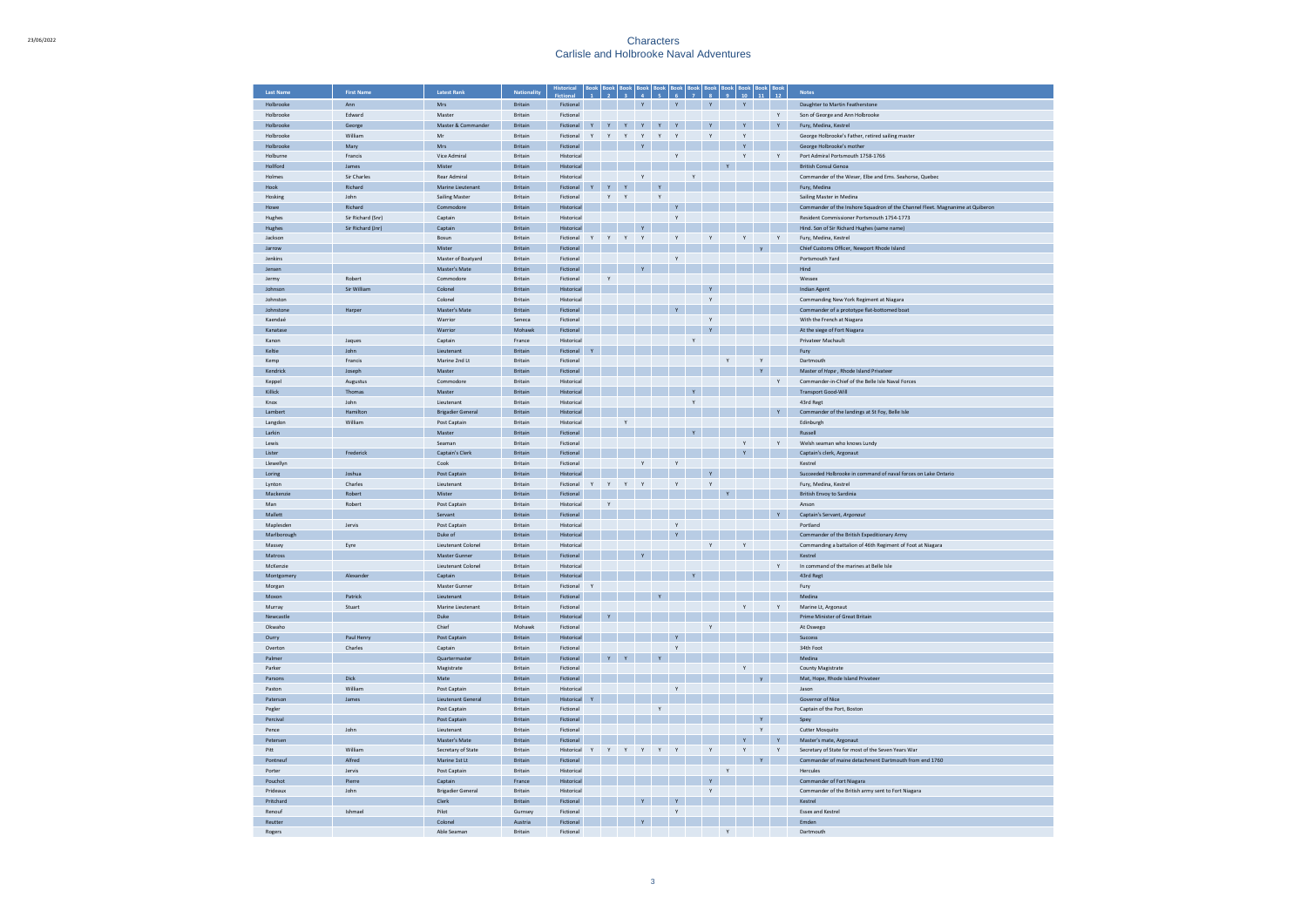| <b>Last Name</b>            | <b>First Name</b>      | Latest Rank                              | <b>Nationality</b>        |                          |              |              |              |              |              |              |              |              |              |              |              |              | <b>Notes</b>                                                                  |
|-----------------------------|------------------------|------------------------------------------|---------------------------|--------------------------|--------------|--------------|--------------|--------------|--------------|--------------|--------------|--------------|--------------|--------------|--------------|--------------|-------------------------------------------------------------------------------|
| Holbrooke                   | Ann                    | Mrs                                      | Britain                   | Fictional                |              |              |              |              |              | Y            |              | $\mathbf{Y}$ |              | $\mathbf{Y}$ |              |              | Daughter to Martin Featherstone                                               |
| Holbrooke                   | Edward                 | Master                                   | Britain                   | Fictional                |              |              |              |              |              |              |              |              |              |              |              | Y            | Son of George and Ann Holbrooke                                               |
| Holbrooke                   | George                 | Master & Commander                       | <b>Britain</b>            | Fictional                | Y            | $\mathbf{v}$ | $\mathbf{Y}$ | $\mathbf{Y}$ | $\mathbf{Y}$ | Y            |              | $\mathbf{Y}$ |              | $-$ Y $-$    |              | Y            | Fury, Medina, Kestrel                                                         |
| Holbrooke                   | William                | Mr                                       | Britain                   | Fictional                | Y            | Y            | Y            | Y            | Y            | Y            |              | $\mathsf Y$  |              | Y            |              |              | George Holbrooke's Father, retired sailing master                             |
| Holbrooke                   | Mary                   | Mrs                                      | <b>Britain</b>            | Fictional                |              |              |              | $\mathbf{v}$ |              |              |              |              |              | $\mathbf{v}$ |              |              | George Holbrooke's mother                                                     |
| Holburne                    | Francis                | Vice Admiral                             | <b>Rritain</b>            | Historical               |              |              |              |              |              | Y            |              |              |              | Y            |              | Y            | Port Admiral Portsmouth 1758-1766                                             |
| Hollford                    | James                  | Mister                                   | <b>Britain</b>            | Historical               |              |              |              |              |              |              |              |              |              |              |              |              | <b>British Consul Genoa</b>                                                   |
| Holmes<br>Hook              | Sir Charles<br>Richard | <b>Rear Admiral</b><br>Marine Lieutenant | <b>Britain</b><br>Britain | Historical<br>Fictional  |              | Y Y          | Y            | Y            | $\mathbf{Y}$ |              | Y            |              |              |              |              |              | Commander of the Weser. Elbe and Ems. Seahorse, Quebec                        |
| Hosking                     | John                   | <b>Sailing Master</b>                    | Britain                   | Fictional                |              | Y            | Y            |              | $\mathsf Y$  |              |              |              |              |              |              |              | Fury, Medina<br>Sailing Master in Medina                                      |
| Howe                        | Richard                | Commodore                                | Britain                   | Historical               |              |              |              |              |              |              |              |              |              |              |              |              | Commander of the Inshore Squadron of the Channel Fleet. Magnanime at Quiberon |
| Hughes                      | Sir Richard (Snr)      | Captain                                  | Britain                   | Historical               |              |              |              |              |              | Y            |              |              |              |              |              |              | Resident Commissioner Portsmouth 1754-1773                                    |
| Hughes                      | Sir Richard (Jnr)      | Captain                                  | Britain                   | Historical               |              |              |              |              |              |              |              |              |              |              |              |              | Hind. Son of Sir Richard Hughes (same name)                                   |
| Jackson                     |                        | Bosun                                    | Britain                   | Fictional                | Y Y          |              | Y            | Y            |              | Y            |              | Y            |              | Y            |              | Y            | Fury, Medina, Kestrel                                                         |
| Jarrow                      |                        | Mister                                   | Britain                   | Fictional                |              |              |              |              |              |              |              |              |              |              | V            |              | Chief Customs Officer, Newport Rhode Island                                   |
| Jenkins                     |                        | Master of Boatyard                       | Britain                   | Fictional                |              |              |              |              |              | Y            |              |              |              |              |              |              | Portsmouth Yard                                                               |
| Jensen                      |                        | Master's Mate                            | <b>Britain</b>            | Fictional                |              |              |              |              |              |              |              |              |              |              |              |              | Hind                                                                          |
| Jermy                       | Robert                 | Commodore                                | Britain                   | Fictional                |              | $\mathbf{Y}$ |              |              |              |              |              |              |              |              |              |              | Wessex                                                                        |
| Johnson                     | Sir William            | Colonel                                  | Britain                   | Historical               |              |              |              |              |              |              |              | Y            |              |              |              |              | <b>Indian Agent</b>                                                           |
| Inhnston                    |                        | Colonel                                  | <b>Britain</b>            | Historical               |              |              |              |              |              |              |              | $\mathbf{v}$ |              |              |              |              | Commanding New York Regiment at Niagara                                       |
| <b>Johnstone</b><br>Kaendaé | Harper                 | Master's Mate<br>Warrion                 | <b>Britain</b><br>Seneca  | Fictional<br>Fictional   |              |              |              |              |              | Y            |              | $\mathbf{v}$ |              |              |              |              | Commander of a prototype flat-bottomed boat<br>With the French at Niagara     |
| Kanatase                    |                        | Warrior                                  | Mohaw                     | Fictional                |              |              |              |              |              |              |              | $\mathbf Y$  |              |              |              |              | At the siege of Fort Niagara                                                  |
| Kanon                       | Jaques                 | Captain                                  | France                    | Historical               |              |              |              |              |              |              | $\mathbf{Y}$ |              |              |              |              |              | Privateer Machault                                                            |
| Keltie                      | John                   | Lieutenant                               | Britain                   | Fictional                |              |              |              |              |              |              |              |              |              |              |              |              | Fury                                                                          |
| Kemp                        | Francis                | Marine 2nd Lt                            | <b>Britain</b>            | Fictional                |              |              |              |              |              |              |              |              | Y            |              | $\mathbf{v}$ |              | Dartmouth                                                                     |
| Kendrick                    | Joseph                 | Master                                   | Britain                   | Fictional                |              |              |              |              |              |              |              |              |              |              | Y            |              | Master of Hope, Rhode Island Privateer                                        |
| Keppel                      | Augustus               | Commodore                                | Britain                   | Historical               |              |              |              |              |              |              |              |              |              |              |              | Y            | Commander-in-Chief of the Belle Isle Naval Forces                             |
| Killick                     | Thomas                 | Master                                   | Britain                   | Historical               |              |              |              |              |              |              | $\mathbf Y$  |              |              |              |              |              | <b>Transport Good-Wil</b>                                                     |
| Knox                        | John                   | Lieutenant                               | Britain                   | Historical               |              |              |              |              |              |              | Y            |              |              |              |              |              | 43rd Regt                                                                     |
| Lambert                     | Hamilton               | <b>Brigadier General</b>                 | Britain                   | Historical               |              |              |              |              |              |              |              |              |              |              |              | $\mathsf{Y}$ | Commander of the landings at St Foy, Belle Isle                               |
| Langdon                     | William                | Post Captain                             | Britain                   | Historical               |              |              | Y            |              |              |              |              |              |              |              |              |              | Edinburgh                                                                     |
| Larkin                      |                        | Master                                   | Britain                   | Fictional                |              |              |              |              |              |              |              |              |              |              |              |              | Russell                                                                       |
| Lewis                       |                        | Seaman<br><b>Captain's Clerk</b>         | Britain<br>Britain        | Fictional<br>Fictional   |              |              |              |              |              |              |              |              |              | Y<br>Y       |              | Y            | Welsh seaman who knows Lundy<br>Captain's clerk, Argonaut                     |
| Lister<br>Llewellyn         | Frederick              | Cook                                     | Britain                   | Fictional                |              |              |              | Y            |              | Y            |              |              |              |              |              |              | Kestrel                                                                       |
| Loring                      | Joshua                 | Post Captain                             | <b>Rritain</b>            | Historical               |              |              |              |              |              |              |              | Y            |              |              |              |              | Succeeded Holbrooke in command of naval forces on Lake Ontario                |
| Lynton                      | Charles                | Lieutenant                               | <b>Britain</b>            | Fictional                | Y            | Y            | Y            | Y            |              | Y            |              | Y            |              |              |              |              | Fury, Medina, Kestrel                                                         |
| Mackenzie                   | Robert                 | Mister                                   | <b>Britain</b>            | Fictional                |              |              |              |              |              |              |              |              |              |              |              |              | British Envoy to Sardinia                                                     |
| Man                         | Robert                 | Post Captain                             | <b>Britain</b>            | Historical               |              | Y            |              |              |              |              |              |              |              |              |              |              | Anson                                                                         |
| Mallett                     |                        | Servant                                  | <b>Britain</b>            | Fictional                |              |              |              |              |              |              |              |              |              |              |              |              | Captain's Servant, Argonaut                                                   |
| Maplesden                   | Jervis                 | Post Captain                             | Britain                   | Historical               |              |              |              |              |              | Y            |              |              |              |              |              |              | Portland                                                                      |
| Marlborough                 |                        | Duke of                                  | Britain                   | Historical               |              |              |              |              |              | Y            |              |              |              |              |              |              | Commander of the British Expeditionary Army                                   |
| Massey                      | Eyre                   | Lieutenant Colonel                       | Britain                   | Historical               |              |              |              |              |              |              |              | Υ            |              | Y            |              |              | Commanding a battalion of 46th Regiment of Foot at Niagara                    |
| Matross                     |                        | Master Gunner                            | Britain                   | Fictional                |              |              |              |              |              |              |              |              |              |              |              |              | Kestrel                                                                       |
| McKenzie<br>Montgomery      | Alexander              | <b>Lieutenant Colonel</b><br>Captain     | Britain<br>Britain        | Historical<br>Historical |              |              |              |              |              |              |              |              |              |              |              | $\mathsf{Y}$ | In command of the marines at Belle Isle<br>43rd Regt                          |
| Morgan                      |                        | Master Gunner                            | Britain                   | Fictional                | $\mathbf{v}$ |              |              |              |              |              |              |              |              |              |              |              | Fury                                                                          |
| Moxon                       | Patrick                | Lieutenant                               | Britain                   | Fictional                |              |              |              |              |              |              |              |              |              |              |              |              | Medina                                                                        |
| Murray                      | Stuart                 | Marine Lieutenant                        | Britain                   | Fictional                |              |              |              |              |              |              |              |              |              | Y            |              | Y            | Marine Lt. Argonaut                                                           |
| Newcastle                   |                        | Duke                                     | <b>Rritain</b>            | Historical               |              |              |              |              |              |              |              |              |              |              |              |              | Prime Minister of Great Britain                                               |
| Okwaho                      |                        | Chief                                    | Mohawl                    | Fictional                |              |              |              |              |              |              |              | $\mathbf Y$  |              |              |              |              | At Oswego                                                                     |
| Ourry                       | Paul Henry             | Post Captain                             | <b>Britain</b>            | Historical               |              |              |              |              |              | Y            |              |              |              |              |              |              | Success                                                                       |
| Overton                     | Charles                | Cantain                                  | <b>Rritain</b>            | Fictional                |              |              |              |              |              | <b>Y</b>     |              |              |              |              |              |              | 34th Foot                                                                     |
| Palmer                      |                        | Quartermaster                            | <b>Britain</b>            | Fictional                |              |              | Y            |              | $\mathsf{Y}$ |              |              |              |              |              |              |              | Medina                                                                        |
| Parker                      |                        | Magistrate                               | Britain                   | Fictional                |              |              |              |              |              |              |              |              |              | $\mathsf{Y}$ |              |              | County Magistrate                                                             |
| Parsons                     | <b>Dick</b>            | Mate                                     | <b>Rritain</b>            | Fictional                |              |              |              |              |              |              |              |              |              |              |              |              | Mat, Hope, Rhode Island Privateer                                             |
| Paston<br>Paterson          | William<br>James       | Post Captain<br>Lieutenant General       | Britain<br>Britain        | Historical<br>Historical |              |              |              |              |              | $_{\rm Y}$   |              |              |              |              |              |              | Jasor<br>Governor of Nice                                                     |
| Pegler                      |                        | Post Captain                             | Britain                   | Fictiona                 |              |              |              |              | $\mathsf{Y}$ |              |              |              |              |              |              |              | Captain of the Port, Boston                                                   |
| Percival                    |                        | Post Captain                             | Britain                   | Fictional                |              |              |              |              |              |              |              |              |              |              | $\mathbf Y$  |              | Spey                                                                          |
| Pence                       | John                   | Lieutenant                               | Britain                   | Fictional                |              |              |              |              |              |              |              |              |              |              | $\mathsf{Y}$ |              | Cutter Mosquito                                                               |
| Petersen                    |                        | Master's Mate                            | Britain                   | Fictional                |              |              |              |              |              |              |              |              |              | Y            |              | $\mathbf{Y}$ | Master's mate, Argonaut                                                       |
| Pitt                        | William                | Secretary of State                       | Britain                   | Historical               |              |              | Y            |              | $\mathsf{Y}$ | $\mathsf{Y}$ |              | $\mathsf Y$  |              | Y            |              | Y            | Secretary of State for most of the Seven Years War                            |
| Pontneur                    | Alfred                 | Marine 1st Lt                            | Britain                   | Fictional                |              |              |              |              |              |              |              |              |              |              | $\mathbf{Y}$ |              | Commander of maine detachment Dartmouth from end 1760                         |
| Porter                      | Jervis                 | Post Captain                             | Britain                   | Historical               |              |              |              |              |              |              |              |              | Y            |              |              |              | Hercules                                                                      |
| Pouchot                     | Pierre                 | Captain                                  | France                    | Historical               |              |              |              |              |              |              |              | $\mathbf{Y}$ |              |              |              |              | Commander of Fort Niagara                                                     |
| Prideaux                    | John                   | <b>Brigadier General</b>                 | <b>Britain</b>            | Historical               |              |              |              |              |              |              |              | <b>Y</b>     |              |              |              |              | Commander of the British army sent to Fort Niagara                            |
| Pritchard                   |                        | Clerk                                    | <b>Britain</b>            | Fictional                |              |              |              |              |              | Y            |              |              |              |              |              |              | Kestrel                                                                       |
| Renouf                      | Ishmael                | Pilot                                    | <b>Gurnsey</b>            | Fictional                |              |              |              |              |              | Y            |              |              |              |              |              |              | <b>Essex and Kestrel</b>                                                      |
| Reutter                     |                        | Colonel<br>Able Seaman                   | Austria<br>Britain        | Fictional                |              |              |              |              |              |              |              |              |              |              |              |              | Emden<br>Dartmouth                                                            |
| Rogers                      |                        |                                          |                           | Fictional                |              |              |              |              |              |              |              |              | $\mathsf{Y}$ |              |              |              |                                                                               |